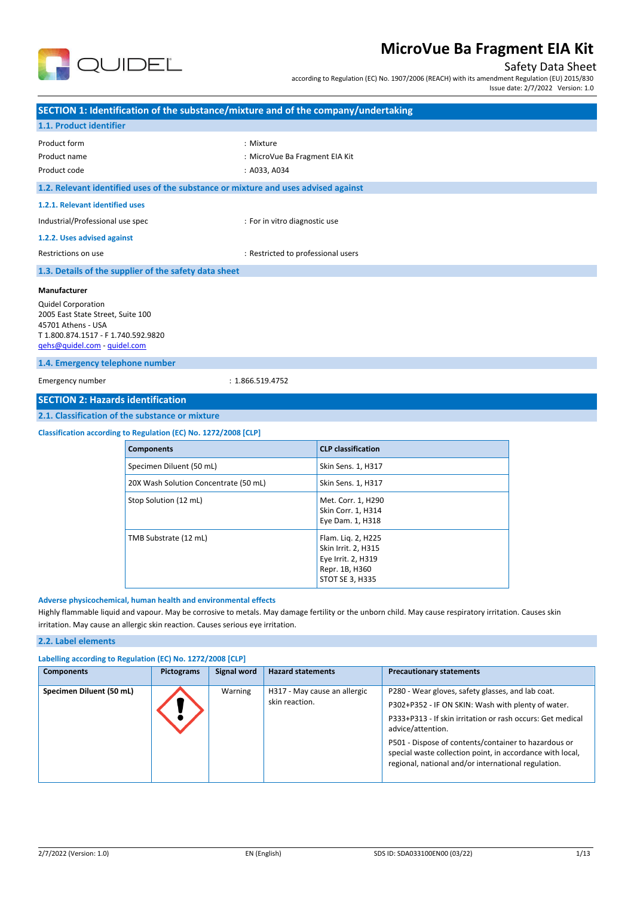

## Safety Data Sheet

according to Regulation (EC) No. 1907/2006 (REACH) with its amendment Regulation (EU) 2015/830

Issue date: 2/7/2022 Version: 1.0

|                                                                                                                                                                                                                                                                                                                                                              | SECTION 1: Identification of the substance/mixture and of the company/undertaking  |                                    |                                                                                                      |  |
|--------------------------------------------------------------------------------------------------------------------------------------------------------------------------------------------------------------------------------------------------------------------------------------------------------------------------------------------------------------|------------------------------------------------------------------------------------|------------------------------------|------------------------------------------------------------------------------------------------------|--|
| 1.1. Product identifier                                                                                                                                                                                                                                                                                                                                      |                                                                                    |                                    |                                                                                                      |  |
| Product form<br>Product name<br>Product code                                                                                                                                                                                                                                                                                                                 | : Mixture<br>: MicroVue Ba Fragment EIA Kit<br>: A033, A034                        |                                    |                                                                                                      |  |
|                                                                                                                                                                                                                                                                                                                                                              | 1.2. Relevant identified uses of the substance or mixture and uses advised against |                                    |                                                                                                      |  |
| 1.2.1. Relevant identified uses                                                                                                                                                                                                                                                                                                                              |                                                                                    |                                    |                                                                                                      |  |
| Industrial/Professional use spec                                                                                                                                                                                                                                                                                                                             |                                                                                    | : For in vitro diagnostic use      |                                                                                                      |  |
| 1.2.2. Uses advised against                                                                                                                                                                                                                                                                                                                                  |                                                                                    |                                    |                                                                                                      |  |
| Restrictions on use                                                                                                                                                                                                                                                                                                                                          |                                                                                    | : Restricted to professional users |                                                                                                      |  |
|                                                                                                                                                                                                                                                                                                                                                              | 1.3. Details of the supplier of the safety data sheet                              |                                    |                                                                                                      |  |
| <b>Manufacturer</b><br><b>Quidel Corporation</b><br>2005 East State Street, Suite 100<br>45701 Athens - USA<br>T 1.800.874.1517 - F 1.740.592.9820<br>gehs@quidel.com - quidel.com<br>1.4. Emergency telephone number<br>Emergency number<br>: 1.866.519.4752<br><b>SECTION 2: Hazards identification</b><br>2.1. Classification of the substance or mixture |                                                                                    |                                    |                                                                                                      |  |
|                                                                                                                                                                                                                                                                                                                                                              | Classification according to Regulation (EC) No. 1272/2008 [CLP]                    |                                    |                                                                                                      |  |
|                                                                                                                                                                                                                                                                                                                                                              | <b>Components</b>                                                                  |                                    | <b>CLP</b> classification                                                                            |  |
|                                                                                                                                                                                                                                                                                                                                                              | Specimen Diluent (50 mL)                                                           |                                    | Skin Sens. 1, H317                                                                                   |  |
|                                                                                                                                                                                                                                                                                                                                                              | 20X Wash Solution Concentrate (50 mL)                                              |                                    | Skin Sens. 1, H317                                                                                   |  |
|                                                                                                                                                                                                                                                                                                                                                              | Stop Solution (12 mL)                                                              |                                    | Met. Corr. 1, H290<br>Skin Corr. 1, H314<br>Eye Dam. 1, H318                                         |  |
|                                                                                                                                                                                                                                                                                                                                                              | TMB Substrate (12 mL)                                                              |                                    | Flam. Lig. 2, H225<br>Skin Irrit. 2, H315<br>Eye Irrit. 2, H319<br>Repr. 1B, H360<br>STOT SE 3, H335 |  |
| Adverse physicochemical, human health and environmental effects<br>Highly flammable liquid and vapour. May be corrosive to metals. May damage fertility or the unborn child. May cause respiratory irritation. Causes skin<br>irritation. May cause an allergic skin reaction. Causes serious eye irritation.<br>2.2. Label elements                         |                                                                                    |                                    |                                                                                                      |  |

| Labelling according to Regulation (EC) No. 1272/2008 [CLP] |            |             |                                                |                                                                                                                                                                                                                                                                                                                                                                        |  |  |
|------------------------------------------------------------|------------|-------------|------------------------------------------------|------------------------------------------------------------------------------------------------------------------------------------------------------------------------------------------------------------------------------------------------------------------------------------------------------------------------------------------------------------------------|--|--|
| <b>Components</b>                                          | Pictograms | Signal word | <b>Hazard statements</b>                       | <b>Precautionary statements</b>                                                                                                                                                                                                                                                                                                                                        |  |  |
| Specimen Diluent (50 mL)                                   |            | Warning     | H317 - May cause an allergic<br>skin reaction. | P280 - Wear gloves, safety glasses, and lab coat.<br>P302+P352 - IF ON SKIN: Wash with plenty of water.<br>P333+P313 - If skin irritation or rash occurs: Get medical<br>advice/attention.<br>P501 - Dispose of contents/container to hazardous or<br>special waste collection point, in accordance with local,<br>regional, national and/or international regulation. |  |  |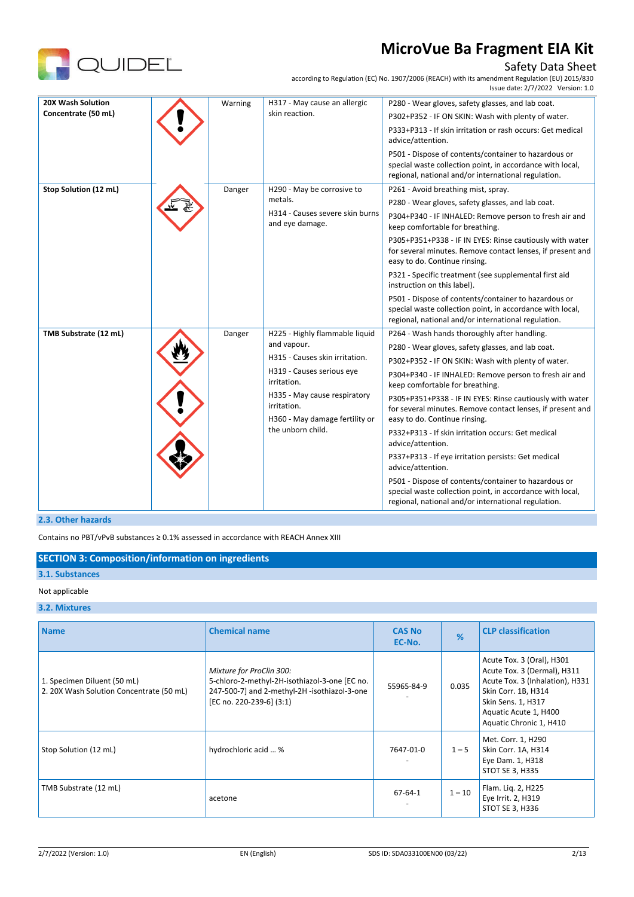

### Safety Data Sheet

according to Regulation (EC) No. 1907/2006 (REACH) with its amendment Regulation (EU) 2015/830

|                       |         |                                                     | Issue date: 2/7/2022 Version: 1.0                                                                                                                                        |
|-----------------------|---------|-----------------------------------------------------|--------------------------------------------------------------------------------------------------------------------------------------------------------------------------|
| 20X Wash Solution     | Warning | H317 - May cause an allergic                        | P280 - Wear gloves, safety glasses, and lab coat.                                                                                                                        |
| Concentrate (50 mL)   |         | skin reaction.                                      | P302+P352 - IF ON SKIN: Wash with plenty of water.                                                                                                                       |
|                       |         |                                                     | P333+P313 - If skin irritation or rash occurs: Get medical<br>advice/attention.                                                                                          |
|                       |         |                                                     | P501 - Dispose of contents/container to hazardous or<br>special waste collection point, in accordance with local,<br>regional, national and/or international regulation. |
| Stop Solution (12 mL) | Danger  | H290 - May be corrosive to                          | P261 - Avoid breathing mist, spray.                                                                                                                                      |
|                       |         | metals.                                             | P280 - Wear gloves, safety glasses, and lab coat.                                                                                                                        |
|                       |         | H314 - Causes severe skin burns<br>and eye damage.  | P304+P340 - IF INHALED: Remove person to fresh air and<br>keep comfortable for breathing.                                                                                |
|                       |         |                                                     | P305+P351+P338 - IF IN EYES: Rinse cautiously with water<br>for several minutes. Remove contact lenses, if present and<br>easy to do. Continue rinsing.                  |
|                       |         |                                                     | P321 - Specific treatment (see supplemental first aid<br>instruction on this label).                                                                                     |
|                       |         |                                                     | P501 - Dispose of contents/container to hazardous or<br>special waste collection point, in accordance with local,<br>regional, national and/or international regulation. |
| TMB Substrate (12 mL) | Danger  | H225 - Highly flammable liquid                      | P264 - Wash hands thoroughly after handling.                                                                                                                             |
|                       |         | and vapour.                                         | P280 - Wear gloves, safety glasses, and lab coat.                                                                                                                        |
|                       |         | H315 - Causes skin irritation.                      | P302+P352 - IF ON SKIN: Wash with plenty of water.                                                                                                                       |
|                       |         | H319 - Causes serious eye<br>irritation.            | P304+P340 - IF INHALED: Remove person to fresh air and<br>keep comfortable for breathing.                                                                                |
|                       |         | H335 - May cause respiratory<br>irritation.         | P305+P351+P338 - IF IN EYES: Rinse cautiously with water<br>for several minutes. Remove contact lenses, if present and                                                   |
|                       |         | H360 - May damage fertility or<br>the unborn child. | easy to do. Continue rinsing.                                                                                                                                            |
|                       |         |                                                     | P332+P313 - If skin irritation occurs: Get medical<br>advice/attention.                                                                                                  |
|                       |         |                                                     | P337+P313 - If eye irritation persists: Get medical<br>advice/attention.                                                                                                 |
|                       |         |                                                     | P501 - Dispose of contents/container to hazardous or<br>special waste collection point, in accordance with local,<br>regional, national and/or international regulation. |

#### **2.3. Other hazards**

Contains no PBT/vPvB substances ≥ 0.1% assessed in accordance with REACH Annex XIII

### **SECTION 3: Composition/information on ingredients**

## **3.1. Substances**

#### Not applicable

#### **3.2. Mixtures**

| <b>Name</b>                                                             | <b>Chemical name</b>                                                                                                                                  | <b>CAS No</b><br>EC-No. | $\frac{9}{6}$ | <b>CLP classification</b>                                                                                                                                                                    |
|-------------------------------------------------------------------------|-------------------------------------------------------------------------------------------------------------------------------------------------------|-------------------------|---------------|----------------------------------------------------------------------------------------------------------------------------------------------------------------------------------------------|
| 1. Specimen Diluent (50 mL)<br>2. 20X Wash Solution Concentrate (50 mL) | Mixture for ProClin 300:<br>5-chloro-2-methyl-2H-isothiazol-3-one [EC no.<br>247-500-7] and 2-methyl-2H -isothiazol-3-one<br>[EC no. 220-239-6] (3:1) | 55965-84-9              | 0.035         | Acute Tox. 3 (Oral), H301<br>Acute Tox. 3 (Dermal), H311<br>Acute Tox. 3 (Inhalation), H331<br>Skin Corr. 1B, H314<br>Skin Sens. 1, H317<br>Aquatic Acute 1, H400<br>Aquatic Chronic 1, H410 |
| Stop Solution (12 mL)                                                   | hydrochloric acid  %                                                                                                                                  | 7647-01-0               | $1 - 5$       | Met. Corr. 1, H290<br>Skin Corr. 1A, H314<br>Eye Dam. 1, H318<br>STOT SE 3, H335                                                                                                             |
| TMB Substrate (12 mL)                                                   | acetone                                                                                                                                               | $67 - 64 - 1$           | $1 - 10$      | Flam. Lig. 2, H225<br>Eye Irrit. 2, H319<br>STOT SE 3, H336                                                                                                                                  |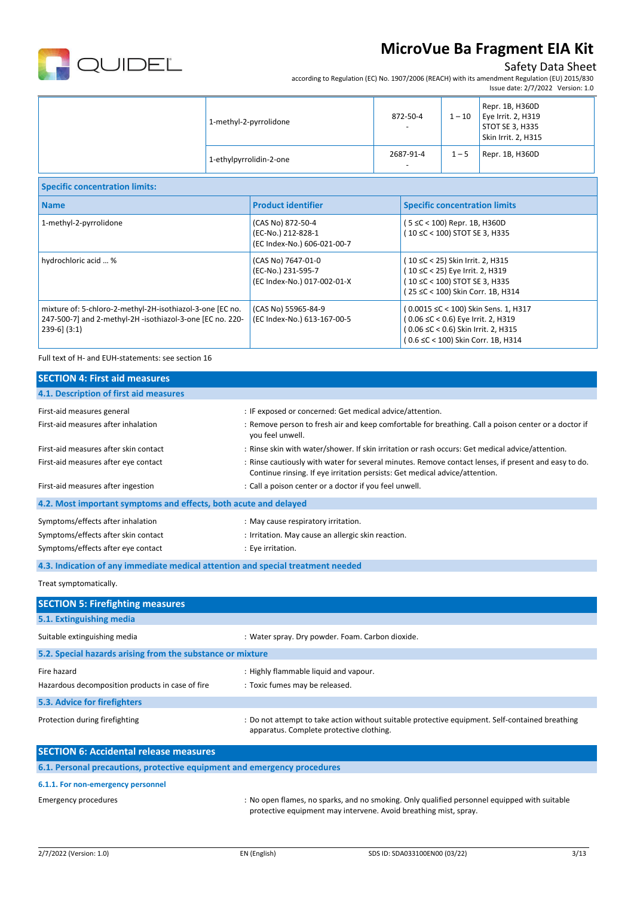

## Safety Data Sheet

according to Regulation (EC) No. 1907/2006 (REACH) with its amendment Regulation (EU) 2015/830

|                         |                                       |         | Issue date: 2/7/2022 Version: 1.0                                                 |
|-------------------------|---------------------------------------|---------|-----------------------------------------------------------------------------------|
| 1-methyl-2-pyrrolidone  | 872-50-4<br>$\overline{\phantom{a}}$  | $1-10$  | Repr. 1B, H360D<br>Eye Irrit. $2, H319$<br>STOT SE 3, H335<br>Skin Irrit. 2, H315 |
| 1-ethylpyrrolidin-2-one | 2687-91-4<br>$\overline{\phantom{a}}$ | $1 - 5$ | Repr. 1B, H360D                                                                   |

| <b>Specific concentration limits:</b>                                                                                                       |                                                                         |                                                                                                                                                         |
|---------------------------------------------------------------------------------------------------------------------------------------------|-------------------------------------------------------------------------|---------------------------------------------------------------------------------------------------------------------------------------------------------|
| <b>Name</b>                                                                                                                                 | <b>Product identifier</b>                                               | <b>Specific concentration limits</b>                                                                                                                    |
| 1-methyl-2-pyrrolidone                                                                                                                      | (CAS No) 872-50-4<br>(EC-No.) 212-828-1<br>(EC Index-No.) 606-021-00-7  | (5 ≤C < 100) Repr. 1B, H360D<br>(10 ≤C < 100) STOT SE 3, H335                                                                                           |
| hydrochloric acid  %                                                                                                                        | (CAS No) 7647-01-0<br>(EC-No.) 231-595-7<br>(EC Index-No.) 017-002-01-X | (10 ≤C < 25) Skin Irrit. 2, H315<br>(10 ≤C < 25) Eye Irrit. 2, H319<br>(10 ≤C < 100) STOT SE 3, H335<br>(25 ≤C < 100) Skin Corr. 1B, H314               |
| mixture of: 5-chloro-2-methyl-2H-isothiazol-3-one [EC no.<br>247-500-7] and 2-methyl-2H -isothiazol-3-one [EC no. 220-<br>$239-6$ ] $(3:1)$ | (CAS No) 55965-84-9<br>(EC Index-No.) 613-167-00-5                      | (0.0015 ≤C < 100) Skin Sens. 1, H317<br>(0.06 ≤C < 0.6) Eye Irrit. 2, H319<br>(0.06 ≤C < 0.6) Skin Irrit. 2, H315<br>(0.6 ≤C < 100) Skin Corr. 1B, H314 |

Full text of H- and EUH-statements: see section 16

| <b>SECTION 4: First aid measures</b>                                            |                                                                                                                                                                                     |
|---------------------------------------------------------------------------------|-------------------------------------------------------------------------------------------------------------------------------------------------------------------------------------|
| 4.1. Description of first aid measures                                          |                                                                                                                                                                                     |
| First-aid measures general                                                      | : IF exposed or concerned: Get medical advice/attention.                                                                                                                            |
| First-aid measures after inhalation                                             | : Remove person to fresh air and keep comfortable for breathing. Call a poison center or a doctor if<br>vou feel unwell.                                                            |
| First-aid measures after skin contact                                           | : Rinse skin with water/shower. If skin irritation or rash occurs: Get medical advice/attention.                                                                                    |
| First-aid measures after eye contact                                            | : Rinse cautiously with water for several minutes. Remove contact lenses, if present and easy to do.<br>Continue rinsing. If eye irritation persists: Get medical advice/attention. |
| First-aid measures after ingestion                                              | : Call a poison center or a doctor if you feel unwell.                                                                                                                              |
| 4.2. Most important symptoms and effects, both acute and delayed                |                                                                                                                                                                                     |
| Symptoms/effects after inhalation                                               | : May cause respiratory irritation.                                                                                                                                                 |
| Symptoms/effects after skin contact                                             | : Irritation. May cause an allergic skin reaction.                                                                                                                                  |
| Symptoms/effects after eye contact                                              | : Eye irritation.                                                                                                                                                                   |
| 4.3. Indication of any immediate medical attention and special treatment needed |                                                                                                                                                                                     |
| Treat symptomatically.                                                          |                                                                                                                                                                                     |
| <b>SECTION 5: Firefighting measures</b>                                         |                                                                                                                                                                                     |
| 5.1. Extinguishing media                                                        |                                                                                                                                                                                     |
| Suitable extinguishing media                                                    | : Water spray. Dry powder. Foam. Carbon dioxide.                                                                                                                                    |
| 5.2. Special hazards arising from the substance or mixture                      |                                                                                                                                                                                     |
| Fire hazard                                                                     | : Highly flammable liquid and vapour.                                                                                                                                               |
| Hazardous decomposition products in case of fire                                | : Toxic fumes may be released.                                                                                                                                                      |
| 5.3. Advice for firefighters                                                    |                                                                                                                                                                                     |
| Protection during firefighting                                                  | : Do not attempt to take action without suitable protective equipment. Self-contained breathing<br>apparatus. Complete protective clothing.                                         |
| <b>SECTION 6: Accidental release measures</b>                                   |                                                                                                                                                                                     |
| 6.1. Personal precautions, protective equipment and emergency procedures        |                                                                                                                                                                                     |

### **6.1.1. For non-emergency personnel**

Emergency procedures : No open flames, no sparks, and no smoking. Only qualified personnel equipped with suitable protective equipment may intervene. Avoid breathing mist, spray.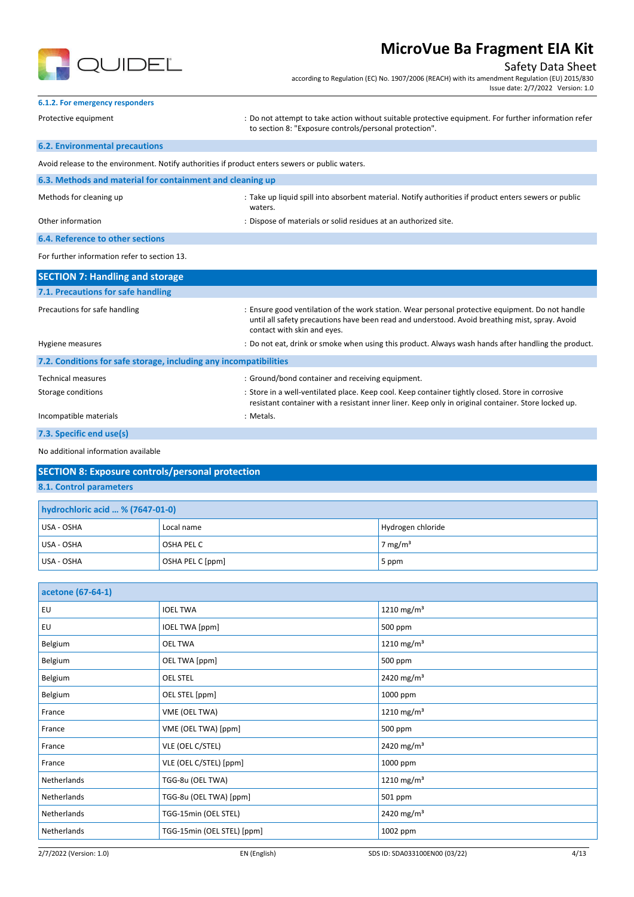

**6.1.2. For emergency responders**

## **MicroVue Ba Fragment EIA Kit**

#### Safety Data Sheet

according to Regulation (EC) No. 1907/2006 (REACH) with its amendment Regulation (EU) 2015/830 Issue date: 2/7/2022 Version: 1.0

## Protective equipment **interprotective equipment** information refer<br>
: Do not attempt to take action without suitable protective equipment. For further information refer to section 8: "Exposure controls/personal protection". **6.2. Environmental precautions** Avoid release to the environment. Notify authorities if product enters sewers or public waters. **6.3. Methods and material for containment and cleaning up** Methods for cleaning up example and the state up liquid spill into absorbent material. Notify authorities if product enters sewers or public waters. Other information extends the state of materials or solid residues at an authorized site.

**6.4. Reference to other sections** For further information refer to section 13.

**SECTION 7: Handling and storage 7.1. Precautions for safe handling** Precautions for safe handling state in the state of the work station. Wear personal protective equipment. Do not handle until all safety precautions have been read and understood. Avoid breathing mist, spray. Avoid contact with skin and eyes. Hygiene measures : Do not eat, drink or smoke when using this product. Always wash hands after handling the product. **7.2. Conditions for safe storage, including any incompatibilities** Technical measures **in the container and receiving equipment.** Suppose that the container and receiving equipment. Storage conditions store in a well-ventilated place. Keep cool. Keep container tightly closed. Store in corrosive resistant container with a resistant inner liner. Keep only in original container. Store locked up. Incompatible materials in the state of the state of the state of the state of the state of the state of the state of the state of the state of the state of the state of the state of the state of the state of the state of t

#### **7.3. Specific end use(s)**

No additional information available

### **SECTION 8: Exposure controls/personal protection**

**8.1. Control parameters**

| hydrochloric acid  % (7647-01-0) |                  |                     |  |
|----------------------------------|------------------|---------------------|--|
| USA - OSHA                       | Local name       | Hydrogen chloride   |  |
| USA - OSHA                       | OSHA PEL C       | 7 mg/m <sup>3</sup> |  |
| USA - OSHA                       | OSHA PEL C [ppm] | 5 ppm               |  |

| acetone (67-64-1) |                            |                        |
|-------------------|----------------------------|------------------------|
| <b>EU</b>         | <b>IOEL TWA</b>            | 1210 mg/m <sup>3</sup> |
| EU                | <b>IOEL TWA [ppm]</b>      | 500 ppm                |
| Belgium           | <b>OEL TWA</b>             | 1210 mg/m <sup>3</sup> |
| Belgium           | OEL TWA [ppm]              | 500 ppm                |
| Belgium           | <b>OEL STEL</b>            | 2420 mg/m <sup>3</sup> |
| Belgium           | OEL STEL [ppm]             | 1000 ppm               |
| France            | VME (OEL TWA)              | 1210 mg/m <sup>3</sup> |
| France            | VME (OEL TWA) [ppm]        | 500 ppm                |
| France            | VLE (OEL C/STEL)           | 2420 mg/m <sup>3</sup> |
| France            | VLE (OEL C/STEL) [ppm]     | 1000 ppm               |
| Netherlands       | TGG-8u (OEL TWA)           | 1210 mg/m <sup>3</sup> |
| Netherlands       | TGG-8u (OEL TWA) [ppm]     | 501 ppm                |
| Netherlands       | TGG-15min (OEL STEL)       | 2420 mg/m <sup>3</sup> |
| Netherlands       | TGG-15min (OEL STEL) [ppm] | 1002 ppm               |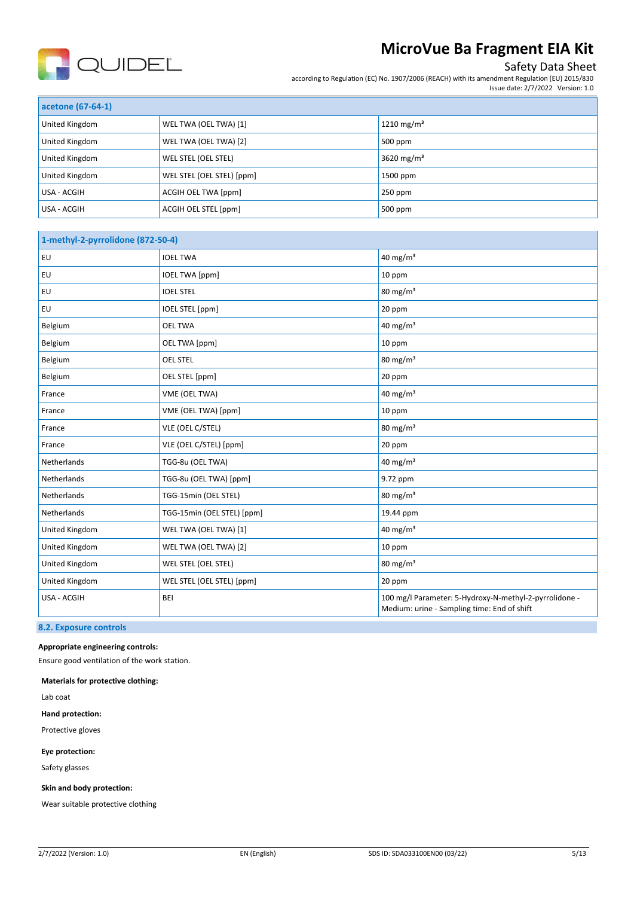

## Safety Data Sheet

according to Regulation (EC) No. 1907/2006 (REACH) with its amendment Regulation (EU) 2015/830 Issue date: 2/7/2022 Version: 1.0

| acetone (67-64-1) |                           |                        |
|-------------------|---------------------------|------------------------|
| United Kingdom    | WEL TWA (OEL TWA) [1]     | 1210 mg/m <sup>3</sup> |
| United Kingdom    | WEL TWA (OEL TWA) [2]     | 500 ppm                |
| United Kingdom    | WEL STEL (OEL STEL)       | 3620 mg/m <sup>3</sup> |
| United Kingdom    | WEL STEL (OEL STEL) [ppm] | 1500 ppm               |
| USA - ACGIH       | ACGIH OEL TWA [ppm]       | $250$ ppm              |
| USA - ACGIH       | ACGIH OEL STEL [ppm]      | 500 ppm                |

| 1-methyl-2-pyrrolidone (872-50-4) |                            |                                                                                                       |
|-----------------------------------|----------------------------|-------------------------------------------------------------------------------------------------------|
| EU                                | <b>IOEL TWA</b>            | 40 mg/m <sup>3</sup>                                                                                  |
| EU                                | <b>IOEL TWA [ppm]</b>      | 10 ppm                                                                                                |
| EU                                | <b>IOEL STEL</b>           | $80 \text{ mg/m}^3$                                                                                   |
| EU                                | IOEL STEL [ppm]            | 20 ppm                                                                                                |
| Belgium                           | <b>OEL TWA</b>             | 40 mg/m <sup>3</sup>                                                                                  |
| Belgium                           | OEL TWA [ppm]              | 10 ppm                                                                                                |
| Belgium                           | <b>OEL STEL</b>            | $80 \text{ mg/m}^3$                                                                                   |
| Belgium                           | OEL STEL [ppm]             | 20 ppm                                                                                                |
| France                            | VME (OEL TWA)              | 40 mg/m <sup>3</sup>                                                                                  |
| France                            | VME (OEL TWA) [ppm]        | 10 ppm                                                                                                |
| France                            | VLE (OEL C/STEL)           | $80 \text{ mg/m}^3$                                                                                   |
| France                            | VLE (OEL C/STEL) [ppm]     | 20 ppm                                                                                                |
| Netherlands                       | TGG-8u (OEL TWA)           | 40 mg/ $m3$                                                                                           |
| Netherlands                       | TGG-8u (OEL TWA) [ppm]     | 9.72 ppm                                                                                              |
| Netherlands                       | TGG-15min (OEL STEL)       | $80 \text{ mg/m}^3$                                                                                   |
| Netherlands                       | TGG-15min (OEL STEL) [ppm] | 19.44 ppm                                                                                             |
| United Kingdom                    | WEL TWA (OEL TWA) [1]      | 40 mg/m <sup>3</sup>                                                                                  |
| United Kingdom                    | WEL TWA (OEL TWA) [2]      | 10 ppm                                                                                                |
| United Kingdom                    | WEL STEL (OEL STEL)        | $80 \text{ mg/m}^3$                                                                                   |
| United Kingdom                    | WEL STEL (OEL STEL) [ppm]  | 20 ppm                                                                                                |
| USA - ACGIH                       | BEI                        | 100 mg/l Parameter: 5-Hydroxy-N-methyl-2-pyrrolidone -<br>Medium: urine - Sampling time: End of shift |

### **8.2. Exposure controls**

#### **Appropriate engineering controls:**

Ensure good ventilation of the work station.

**Materials for protective clothing:**

Lab coat

**Hand protection:** 

Protective gloves

**Eye protection:**

Safety glasses

**Skin and body protection:**

Wear suitable protective clothing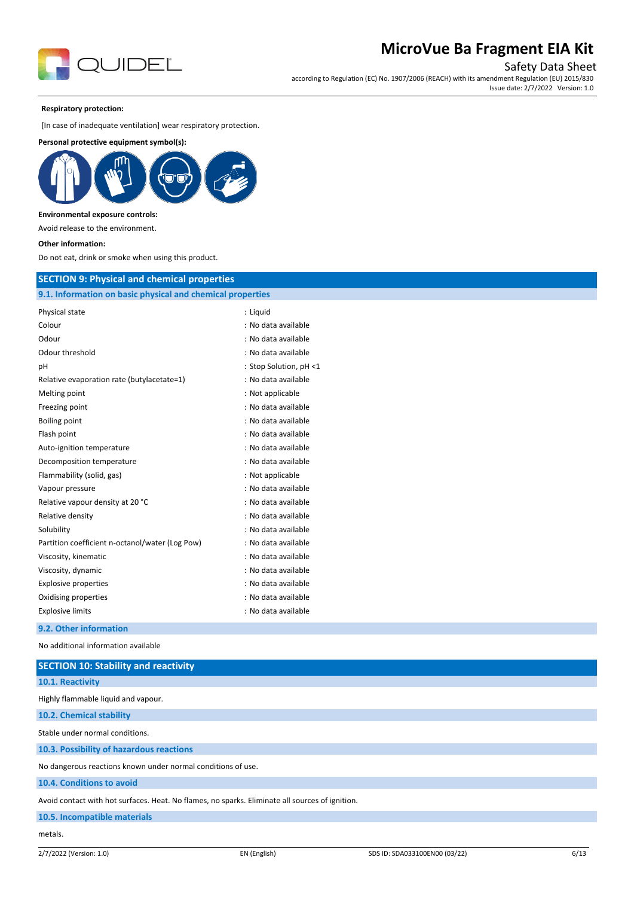

Safety Data Sheet

according to Regulation (EC) No. 1907/2006 (REACH) with its amendment Regulation (EU) 2015/830 Issue date: 2/7/2022 Version: 1.0

#### **Respiratory protection:**

[In case of inadequate ventilation] wear respiratory protection.

### **Personal protective equipment symbol(s):**



#### **Environmental exposure controls:**

Avoid release to the environment.

**Other information:**

Do not eat, drink or smoke when using this product.

### **SECTION 9: Physical and chemical properties**

| 9.1. Information on basic physical and chemical properties |                        |
|------------------------------------------------------------|------------------------|
| Physical state                                             | : Liquid               |
| Colour                                                     | : No data available    |
| Odour                                                      | : No data available    |
| Odour threshold                                            | : No data available    |
| рH                                                         | : Stop Solution, pH <1 |
| Relative evaporation rate (butylacetate=1)                 | : No data available    |
| Melting point                                              | : Not applicable       |
| Freezing point                                             | : No data available    |
| <b>Boiling point</b>                                       | : No data available    |
| Flash point                                                | : No data available    |
| Auto-ignition temperature                                  | : No data available    |
| Decomposition temperature                                  | : No data available    |
| Flammability (solid, gas)                                  | : Not applicable       |
| Vapour pressure                                            | : No data available    |
| Relative vapour density at 20 °C                           | : No data available    |
| Relative density                                           | : No data available    |
| Solubility                                                 | : No data available    |
| Partition coefficient n-octanol/water (Log Pow)            | : No data available    |
| Viscosity, kinematic                                       | : No data available    |
| Viscosity, dynamic                                         | : No data available    |
| <b>Explosive properties</b>                                | : No data available    |
| Oxidising properties                                       | : No data available    |
| <b>Explosive limits</b>                                    | : No data available    |
| 9.2. Other information                                     |                        |

No additional information available

| <b>SECTION 10: Stability and reactivity</b>                                                     |  |
|-------------------------------------------------------------------------------------------------|--|
| 10.1. Reactivity                                                                                |  |
| Highly flammable liquid and vapour.                                                             |  |
| 10.2. Chemical stability                                                                        |  |
| Stable under normal conditions.                                                                 |  |
| 10.3. Possibility of hazardous reactions                                                        |  |
| No dangerous reactions known under normal conditions of use.                                    |  |
| 10.4. Conditions to avoid                                                                       |  |
| Avoid contact with hot surfaces. Heat. No flames, no sparks. Eliminate all sources of ignition. |  |
| 10.5. Incompatible materials                                                                    |  |
| metals.                                                                                         |  |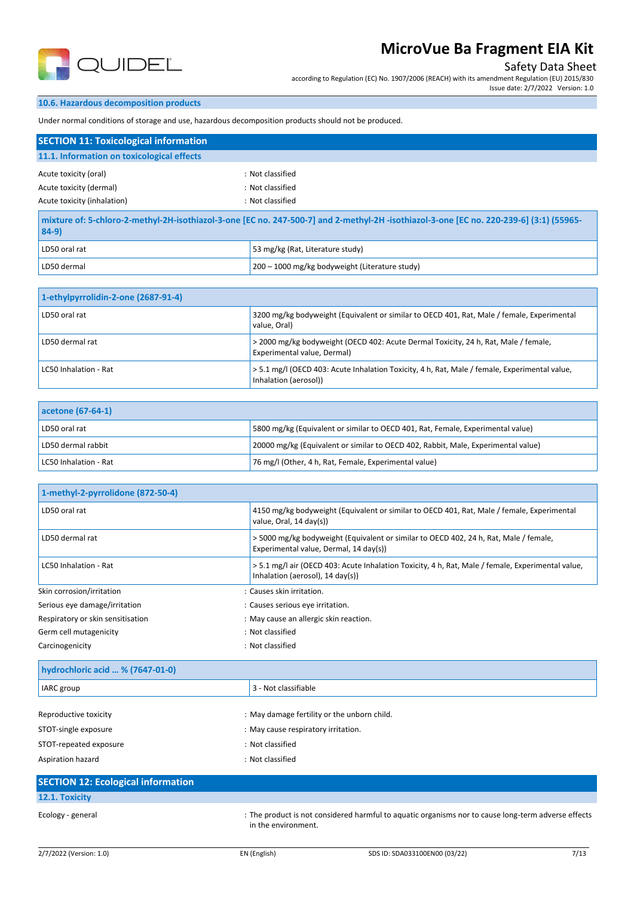

## Safety Data Sheet

according to Regulation (EC) No. 1907/2006 (REACH) with its amendment Regulation (EU) 2015/830 Issue date: 2/7/2022 Version: 1.0

### **10.6. Hazardous decomposition products**

Under normal conditions of storage and use, hazardous decomposition products should not be produced.

| <b>SECTION 11: Toxicological information</b>                                                                                                     |                                            |  |
|--------------------------------------------------------------------------------------------------------------------------------------------------|--------------------------------------------|--|
|                                                                                                                                                  |                                            |  |
| : Not classified                                                                                                                                 |                                            |  |
| : Not classified                                                                                                                                 |                                            |  |
| : Not classified                                                                                                                                 |                                            |  |
| mixture of: 5-chloro-2-methyl-2H-isothiazol-3-one [EC no. 247-500-7] and 2-methyl-2H-isothiazol-3-one [EC no. 220-239-6] (3:1) (55965-<br>$84-9$ |                                            |  |
|                                                                                                                                                  | 11.1. Information on toxicological effects |  |

| LD50 oral rat | 53 mg/kg (Rat, Literature study)               |
|---------------|------------------------------------------------|
| LD50 dermal   | 200 – 1000 mg/kg bodyweight (Literature study) |

| 1-ethylpyrrolidin-2-one (2687-91-4) |                                                                                                                        |
|-------------------------------------|------------------------------------------------------------------------------------------------------------------------|
| LD50 oral rat                       | 3200 mg/kg bodyweight (Equivalent or similar to OECD 401, Rat, Male / female, Experimental<br>value. Oral)             |
| LD50 dermal rat                     | > 2000 mg/kg bodyweight (OECD 402: Acute Dermal Toxicity, 24 h, Rat, Male / female,<br>Experimental value, Dermal)     |
| LC50 Inhalation - Rat               | > 5.1 mg/l (OECD 403: Acute Inhalation Toxicity, 4 h, Rat, Male / female, Experimental value,<br>Inhalation (aerosol)) |

| acetone (67-64-1)     |                                                                                   |
|-----------------------|-----------------------------------------------------------------------------------|
| LD50 oral rat         | 5800 mg/kg (Equivalent or similar to OECD 401, Rat, Female, Experimental value)   |
| LD50 dermal rabbit    | 20000 mg/kg (Equivalent or similar to OECD 402, Rabbit, Male, Experimental value) |
| LC50 Inhalation - Rat | 76 mg/l (Other, 4 h, Rat, Female, Experimental value)                             |

| 1-methyl-2-pyrrolidone (872-50-4) |                                                                                                                                                  |
|-----------------------------------|--------------------------------------------------------------------------------------------------------------------------------------------------|
| LD50 oral rat                     | 4150 mg/kg bodyweight (Equivalent or similar to OECD 401, Rat, Male / female, Experimental<br>value, Oral, 14 day(s))                            |
| LD50 dermal rat                   | >5000 mg/kg bodyweight (Equivalent or similar to OECD 402, 24 h, Rat, Male / female,<br>Experimental value, Dermal, 14 day(s))                   |
| LC50 Inhalation - Rat             | > 5.1 mg/l air (OECD 403: Acute Inhalation Toxicity, 4 h, Rat, Male / female, Experimental value,<br>Inhalation (aerosol), $14 \text{ day(s)}$ ) |
| Skin corrosion/irritation         | : Causes skin irritation.                                                                                                                        |
| Serious eye damage/irritation     | : Causes serious eye irritation.                                                                                                                 |
| Respiratory or skin sensitisation | : May cause an allergic skin reaction.                                                                                                           |
| Germ cell mutagenicity            | : Not classified                                                                                                                                 |
| Carcinogenicity                   | : Not classified                                                                                                                                 |

| hydrochloric acid  % (7647-01-0) |                                             |
|----------------------------------|---------------------------------------------|
| <b>IARC</b> group                | 3 - Not classifiable                        |
|                                  |                                             |
| Reproductive toxicity            | : May damage fertility or the unborn child. |
| STOT-single exposure             | : May cause respiratory irritation.         |
| STOT-repeated exposure           | : Not classified                            |
| Aspiration hazard                | : Not classified                            |

| <b>SECTION 12: Ecological information</b> |                                                                                                                            |
|-------------------------------------------|----------------------------------------------------------------------------------------------------------------------------|
| 12.1. Toxicity                            |                                                                                                                            |
| Ecology - general                         | : The product is not considered harmful to aquatic organisms nor to cause long-term adverse effects<br>in the environment. |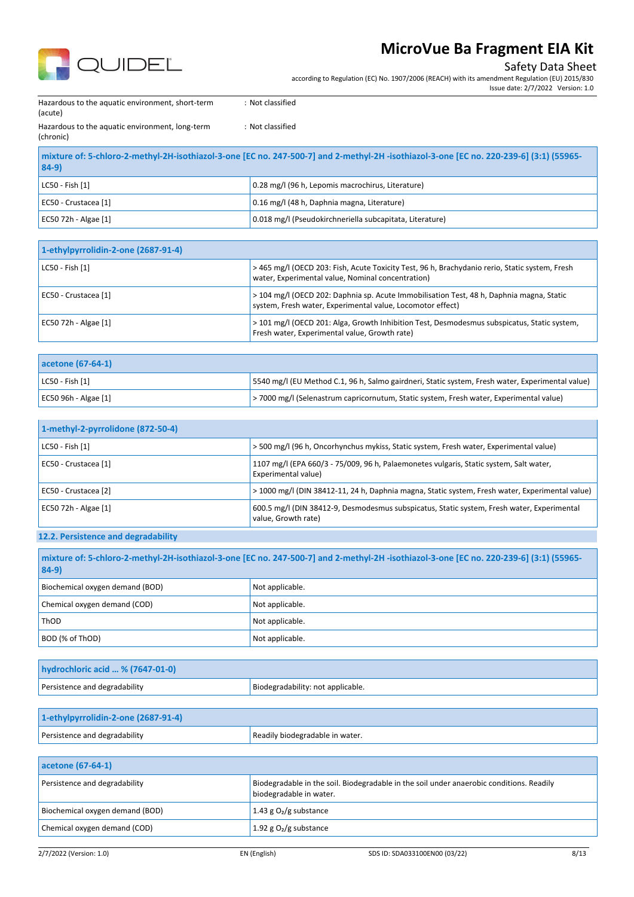

### Safety Data Sheet

according to Regulation (EC) No. 1907/2006 (REACH) with its amendment Regulation (EU) 2015/830

Issue date: 2/7/2022 Version: 1.0

Hazardous to the aquatic environment, short-term (acute)

Hazardous to the aquatic environment, long-term (chronic)

: Not classified

: Not classified

| mixture of: 5-chloro-2-methyl-2H-isothiazol-3-one [EC no. 247-500-7] and 2-methyl-2H -isothiazol-3-one [EC no. 220-239-6] (3:1) (55965-<br>$84-9$ |                                                          |  |
|---------------------------------------------------------------------------------------------------------------------------------------------------|----------------------------------------------------------|--|
| $IC50 - Fish [1]$                                                                                                                                 | 0.28 mg/l (96 h, Lepomis macrochirus, Literature)        |  |
| EC50 - Crustacea [1]                                                                                                                              | 0.16 mg/l (48 h, Daphnia magna, Literature)              |  |
| EC50 72h - Algae [1]                                                                                                                              | 0.018 mg/l (Pseudokirchneriella subcapitata, Literature) |  |

| 1-ethylpyrrolidin-2-one (2687-91-4) |                                                                                                                                                        |
|-------------------------------------|--------------------------------------------------------------------------------------------------------------------------------------------------------|
| LC50 - Fish [1]                     | > 465 mg/l (OECD 203: Fish, Acute Toxicity Test, 96 h, Brachydanio rerio, Static system, Fresh<br>water, Experimental value, Nominal concentration)    |
| EC50 - Crustacea [1]                | > 104 mg/l (OECD 202: Daphnia sp. Acute Immobilisation Test, 48 h, Daphnia magna, Static<br>system, Fresh water, Experimental value, Locomotor effect) |
| EC50 72h - Algae [1]                | > 101 mg/l (OECD 201: Alga, Growth Inhibition Test, Desmodesmus subspicatus, Static system,<br>Fresh water, Experimental value, Growth rate)           |

| acetone (67-64-1)     |                                                                                                  |
|-----------------------|--------------------------------------------------------------------------------------------------|
| $ $ LC50 - Fish $[1]$ | 5540 mg/l (EU Method C.1, 96 h, Salmo gairdneri, Static system, Fresh water, Experimental value) |
| EC50 96h - Algae [1]  | >7000 mg/l (Selenastrum capricornutum, Static system, Fresh water, Experimental value)           |

| 1-methyl-2-pyrrolidone (872-50-4) |                                                                                                                   |
|-----------------------------------|-------------------------------------------------------------------------------------------------------------------|
| LC50 - Fish [1]                   | > 500 mg/l (96 h, Oncorhynchus mykiss, Static system, Fresh water, Experimental value)                            |
| EC50 - Crustacea [1]              | 1107 mg/l (EPA 660/3 - 75/009, 96 h, Palaemonetes vulgaris, Static system, Salt water,<br>Experimental value)     |
| EC50 - Crustacea [2]              | > 1000 mg/l (DIN 38412-11, 24 h, Daphnia magna, Static system, Fresh water, Experimental value)                   |
| EC50 72h - Algae [1]              | 600.5 mg/l (DIN 38412-9, Desmodesmus subspicatus, Static system, Fresh water, Experimental<br>value, Growth rate) |

### **12.2. Persistence and degradability**

| mixture of: 5-chloro-2-methyl-2H-isothiazol-3-one [EC no. 247-500-7] and 2-methyl-2H-isothiazol-3-one [EC no. 220-239-6] (3:1) (55965-<br>$84-9)$ |                 |
|---------------------------------------------------------------------------------------------------------------------------------------------------|-----------------|
| Biochemical oxygen demand (BOD)                                                                                                                   | Not applicable. |
| Chemical oxygen demand (COD)                                                                                                                      | Not applicable. |
| ThOD                                                                                                                                              | Not applicable. |
| BOD (% of ThOD)                                                                                                                                   | Not applicable. |

| hydrochloric acid  % (7647-01-0) |                                   |
|----------------------------------|-----------------------------------|
| Persistence and degradability    | Biodegradability: not applicable. |

| 1-ethylpyrrolidin-2-one (2687-91-4) |                                 |
|-------------------------------------|---------------------------------|
| Persistence and degradability       | Readily biodegradable in water. |

| acetone (67-64-1)               |                                                                                                                     |
|---------------------------------|---------------------------------------------------------------------------------------------------------------------|
| Persistence and degradability   | Biodegradable in the soil. Biodegradable in the soil under anaerobic conditions. Readily<br>biodegradable in water. |
| Biochemical oxygen demand (BOD) | 1.43 g $O_2/g$ substance                                                                                            |
| Chemical oxygen demand (COD)    | 1.92 g $O_2/g$ substance                                                                                            |
|                                 |                                                                                                                     |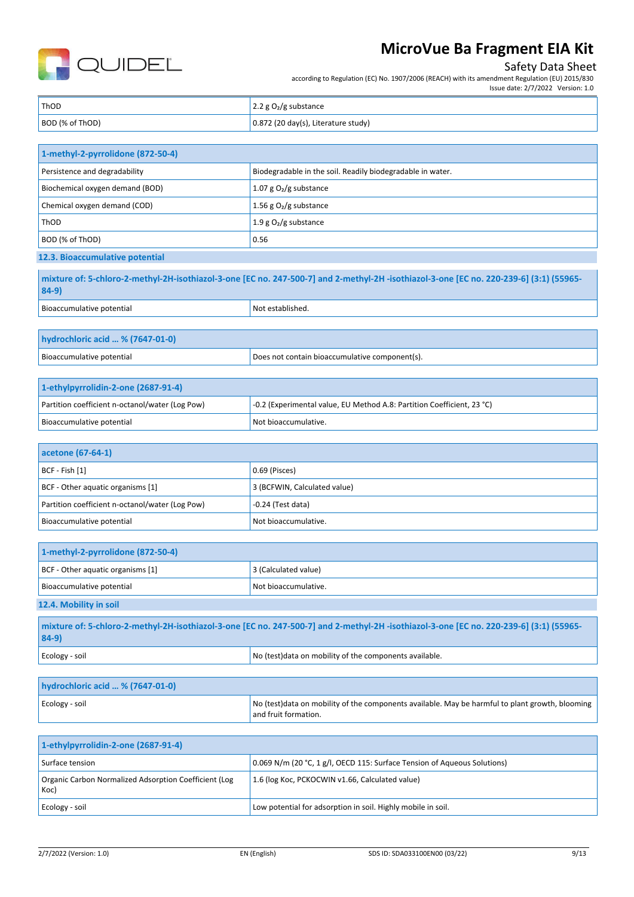

## Safety Data Sheet

Issue date: 2/7/2022 Version: 1.0

according to Regulation (EC) No. 1907/2006 (REACH) with its amendment Regulation (EU) 2015/830

| ThOD            | $\vert$ 2.2 g O <sub>2</sub> /g substance   |
|-----------------|---------------------------------------------|
| BOD (% of ThOD) | $\vert$ 0.872 (20 day(s), Literature study) |

| 1-methyl-2-pyrrolidone (872-50-4) |                                                            |
|-----------------------------------|------------------------------------------------------------|
| Persistence and degradability     | Biodegradable in the soil. Readily biodegradable in water. |
| Biochemical oxygen demand (BOD)   | 1.07 g $O_2/g$ substance                                   |
| Chemical oxygen demand (COD)      | 1.56 g $O_2$ /g substance                                  |
| <b>ThOD</b>                       | 1.9 g $O_2/g$ substance                                    |
| BOD (% of ThOD)                   | 0.56                                                       |
|                                   |                                                            |

**12.3. Bioaccumulative potential**

**mixture of: 5-chloro-2-methyl-2H-isothiazol-3-one [EC no. 247-500-7] and 2-methyl-2H -isothiazol-3-one [EC no. 220-239-6] (3:1) (55965- 84-9)**

| Bioaccumulative potential        | <sup>I</sup> Not established. |
|----------------------------------|-------------------------------|
|                                  |                               |
| hydrochloric acid  % (7647-01-0) |                               |

Bioaccumulative potential Does not contain bioaccumulative component(s).

| 1-ethylpyrrolidin-2-one (2687-91-4)             |                                                                        |
|-------------------------------------------------|------------------------------------------------------------------------|
| Partition coefficient n-octanol/water (Log Pow) | -0.2 (Experimental value, EU Method A.8: Partition Coefficient, 23 °C) |
| Bioaccumulative potential                       | Not bioaccumulative.                                                   |

| acetone (67-64-1)                               |                              |
|-------------------------------------------------|------------------------------|
| $ BCF - Fish [1]$                               | 0.69 (Pisces)                |
| BCF - Other aquatic organisms [1]               | 3 (BCFWIN, Calculated value) |
| Partition coefficient n-octanol/water (Log Pow) | $-0.24$ (Test data)          |
| Bioaccumulative potential                       | Not bioaccumulative.         |

| 1-methyl-2-pyrrolidone (872-50-4) |                      |
|-----------------------------------|----------------------|
| BCF - Other aquatic organisms [1] | 3 (Calculated value) |
| Bioaccumulative potential         | Not bioaccumulative. |
| 12.4. Mobility in soil            |                      |
|                                   |                      |

| mixture of: 5-chloro-2-methyl-2H-isothiazol-3-one [EC no. 247-500-7] and 2-methyl-2H-isothiazol-3-one [EC no. 220-239-6] (3:1) (55965-<br>$84-9$ |                                                         |
|--------------------------------------------------------------------------------------------------------------------------------------------------|---------------------------------------------------------|
| Ecology - soil                                                                                                                                   | No (test) data on mobility of the components available. |
|                                                                                                                                                  |                                                         |

| hydrochloric acid  % (7647-01-0) |                                                                                                                         |
|----------------------------------|-------------------------------------------------------------------------------------------------------------------------|
| Ecology - soil                   | No (test)data on mobility of the components available. May be harmful to plant growth, blooming<br>and fruit formation. |

| 1-ethylpyrrolidin-2-one (2687-91-4)                           |                                                                          |  |
|---------------------------------------------------------------|--------------------------------------------------------------------------|--|
| Surface tension                                               | 0.069 N/m (20 °C, 1 g/l, OECD 115: Surface Tension of Aqueous Solutions) |  |
| Organic Carbon Normalized Adsorption Coefficient (Log<br>Koc) | 1.6 (log Koc, PCKOCWIN v1.66, Calculated value)                          |  |
| Ecology - soil                                                | Low potential for adsorption in soil. Highly mobile in soil.             |  |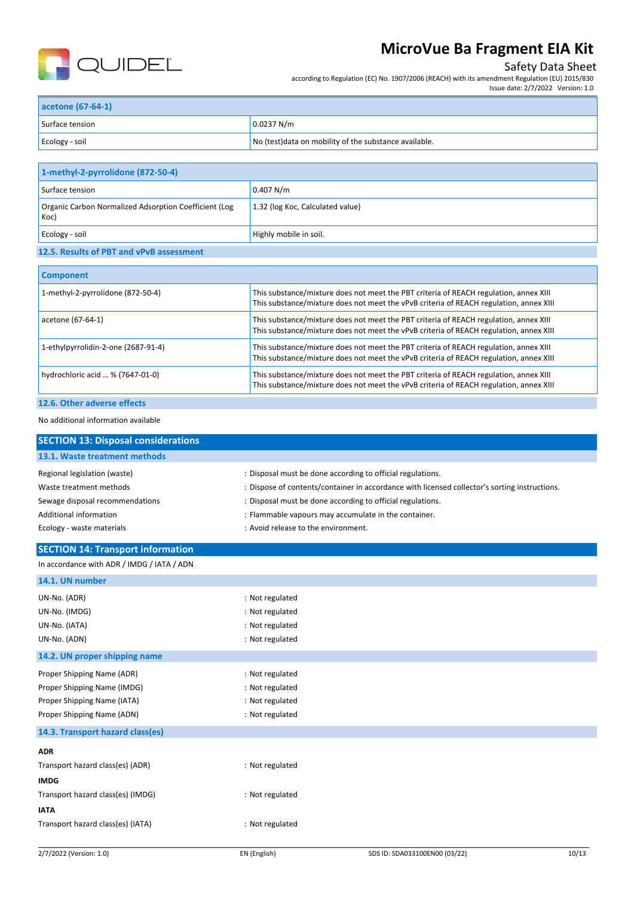

## Safety Data Sheet

according to Regulation (EC) No. 1907/2006 (REACH) with its amendment Regulation (EU) 2015/830

| acetone (67-64-1) |                                                        |  |
|-------------------|--------------------------------------------------------|--|
| Surface tension   | 0.0237 N/m                                             |  |
| Ecology - soil    | No (test) data on mobility of the substance available. |  |

| 1-methyl-2-pyrrolidone (872-50-4)                             |                                  |
|---------------------------------------------------------------|----------------------------------|
| Surface tension                                               | 0.407 N/m                        |
| Organic Carbon Normalized Adsorption Coefficient (Log<br>Koc) | 1.32 (log Koc, Calculated value) |
| Ecology - soil                                                | Highly mobile in soil.           |
|                                                               |                                  |

### **12.5. Results of PBT and vPvB assessment**

| <b>Component</b>                    |                                                                                                                                                                                 |
|-------------------------------------|---------------------------------------------------------------------------------------------------------------------------------------------------------------------------------|
| 1-methyl-2-pyrrolidone (872-50-4)   | This substance/mixture does not meet the PBT criteria of REACH regulation, annex XIII<br>This substance/mixture does not meet the vPvB criteria of REACH regulation, annex XIII |
| acetone (67-64-1)                   | This substance/mixture does not meet the PBT criteria of REACH regulation, annex XIII<br>This substance/mixture does not meet the vPvB criteria of REACH regulation, annex XIII |
| 1-ethylpyrrolidin-2-one (2687-91-4) | This substance/mixture does not meet the PBT criteria of REACH regulation, annex XIII<br>This substance/mixture does not meet the vPvB criteria of REACH regulation, annex XIII |
| hydrochloric acid  % (7647-01-0)    | This substance/mixture does not meet the PBT criteria of REACH regulation, annex XIII<br>This substance/mixture does not meet the vPvB criteria of REACH regulation, annex XIII |
| 12.6. Other adverse effects         |                                                                                                                                                                                 |

#### No additional information available

| <b>SECTION 13: Disposal considerations</b> |                                                                                               |  |  |
|--------------------------------------------|-----------------------------------------------------------------------------------------------|--|--|
| 13.1. Waste treatment methods              |                                                                                               |  |  |
| Regional legislation (waste)               | : Disposal must be done according to official regulations.                                    |  |  |
| Waste treatment methods                    | : Dispose of contents/container in accordance with licensed collector's sorting instructions. |  |  |
| Sewage disposal recommendations            | : Disposal must be done according to official regulations.                                    |  |  |
| <b>Additional information</b>              | : Flammable vapours may accumulate in the container.                                          |  |  |
| Ecology - waste materials                  | : Avoid release to the environment.                                                           |  |  |
| <b>SECTION 14: Transport information</b>   |                                                                                               |  |  |
| In accordance with ADR / IMDG / IATA / ADN |                                                                                               |  |  |
| 14.1. UN number                            |                                                                                               |  |  |
| UN-No. (ADR)                               | : Not regulated                                                                               |  |  |
| UN-No. (IMDG)                              | : Not regulated                                                                               |  |  |
| UN-No. (IATA)                              | : Not regulated                                                                               |  |  |
| UN-No. (ADN)                               | : Not regulated                                                                               |  |  |
| 14.2. UN proper shipping name              |                                                                                               |  |  |
| Proper Shipping Name (ADR)                 | : Not regulated                                                                               |  |  |
| Proper Shipping Name (IMDG)                | : Not regulated                                                                               |  |  |
| Proper Shipping Name (IATA)                | : Not regulated                                                                               |  |  |
| Proper Shipping Name (ADN)                 | : Not regulated                                                                               |  |  |
| 14.3. Transport hazard class(es)           |                                                                                               |  |  |
| <b>ADR</b>                                 |                                                                                               |  |  |
| Transport hazard class(es) (ADR)           | : Not regulated                                                                               |  |  |
| <b>IMDG</b>                                |                                                                                               |  |  |
| Transport hazard class(es) (IMDG)          | : Not regulated                                                                               |  |  |
| <b>IATA</b>                                |                                                                                               |  |  |
| Transport hazard class(es) (IATA)          | : Not regulated                                                                               |  |  |
|                                            |                                                                                               |  |  |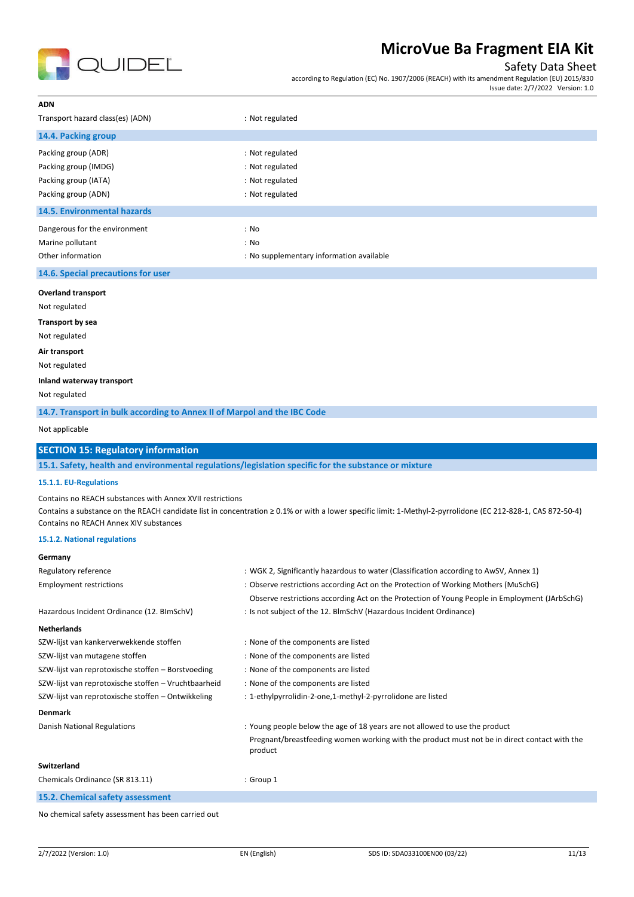

## Safety Data Sheet

according to Regulation (EC) No. 1907/2006 (REACH) with its amendment Regulation (EU) 2015/830 Issue date: 2/7/2022 Version: 1.0

| ADN                                                                                                                                          |                                                                                                                                                                                        |
|----------------------------------------------------------------------------------------------------------------------------------------------|----------------------------------------------------------------------------------------------------------------------------------------------------------------------------------------|
| Transport hazard class(es) (ADN)                                                                                                             | : Not regulated                                                                                                                                                                        |
| 14.4. Packing group                                                                                                                          |                                                                                                                                                                                        |
| Packing group (ADR)                                                                                                                          | : Not regulated                                                                                                                                                                        |
| Packing group (IMDG)                                                                                                                         | : Not regulated                                                                                                                                                                        |
| Packing group (IATA)                                                                                                                         | : Not regulated                                                                                                                                                                        |
| Packing group (ADN)                                                                                                                          | : Not regulated                                                                                                                                                                        |
| <b>14.5. Environmental hazards</b>                                                                                                           |                                                                                                                                                                                        |
| Dangerous for the environment                                                                                                                | : No                                                                                                                                                                                   |
| Marine pollutant                                                                                                                             | : No                                                                                                                                                                                   |
| Other information                                                                                                                            | : No supplementary information available                                                                                                                                               |
| 14.6. Special precautions for user                                                                                                           |                                                                                                                                                                                        |
| <b>Overland transport</b>                                                                                                                    |                                                                                                                                                                                        |
| Not regulated                                                                                                                                |                                                                                                                                                                                        |
| Transport by sea                                                                                                                             |                                                                                                                                                                                        |
| Not regulated                                                                                                                                |                                                                                                                                                                                        |
| Air transport                                                                                                                                |                                                                                                                                                                                        |
| Not regulated                                                                                                                                |                                                                                                                                                                                        |
| Inland waterway transport                                                                                                                    |                                                                                                                                                                                        |
| Not regulated                                                                                                                                |                                                                                                                                                                                        |
| 14.7. Transport in bulk according to Annex II of Marpol and the IBC Code                                                                     |                                                                                                                                                                                        |
| Not applicable                                                                                                                               |                                                                                                                                                                                        |
| <b>SECTION 15: Regulatory information</b>                                                                                                    |                                                                                                                                                                                        |
|                                                                                                                                              |                                                                                                                                                                                        |
| 15.1. Safety, health and environmental regulations/legislation specific for the substance or mixture                                         |                                                                                                                                                                                        |
| 15.1.1. EU-Regulations                                                                                                                       |                                                                                                                                                                                        |
| Contains no REACH substances with Annex XVII restrictions                                                                                    |                                                                                                                                                                                        |
|                                                                                                                                              | Contains a substance on the REACH candidate list in concentration ≥ 0.1% or with a lower specific limit: 1-Methyl-2-pyrrolidone (EC 212-828-1, CAS 872-50-4)                           |
| Contains no REACH Annex XIV substances<br>15.1.2. National regulations                                                                       |                                                                                                                                                                                        |
| Germany                                                                                                                                      |                                                                                                                                                                                        |
|                                                                                                                                              | : WGK 2, Significantly hazardous to water (Classification according to AwSV, Annex 1)                                                                                                  |
| Regulatory reference<br><b>Employment restrictions</b>                                                                                       | : Observe restrictions according Act on the Protection of Working Mothers (MuSchG)                                                                                                     |
|                                                                                                                                              | Observe restrictions according Act on the Protection of Young People in Employment (JArbSchG)                                                                                          |
| Hazardous Incident Ordinance (12. BImSchV)                                                                                                   | : Is not subject of the 12. BlmSchV (Hazardous Incident Ordinance)                                                                                                                     |
| <b>Netherlands</b>                                                                                                                           |                                                                                                                                                                                        |
| SZW-lijst van kankerverwekkende stoffen                                                                                                      | : None of the components are listed                                                                                                                                                    |
|                                                                                                                                              | : None of the components are listed                                                                                                                                                    |
|                                                                                                                                              | : None of the components are listed                                                                                                                                                    |
| SZW-lijst van mutagene stoffen<br>SZW-lijst van reprotoxische stoffen - Borstvoeding<br>SZW-lijst van reprotoxische stoffen - Vruchtbaarheid | : None of the components are listed                                                                                                                                                    |
|                                                                                                                                              | : 1-ethylpyrrolidin-2-one,1-methyl-2-pyrrolidone are listed                                                                                                                            |
| SZW-lijst van reprotoxische stoffen - Ontwikkeling<br>Denmark                                                                                |                                                                                                                                                                                        |
|                                                                                                                                              | : Young people below the age of 18 years are not allowed to use the product<br>Pregnant/breastfeeding women working with the product must not be in direct contact with the<br>product |
|                                                                                                                                              |                                                                                                                                                                                        |
| Danish National Regulations<br>Switzerland<br>Chemicals Ordinance (SR 813.11)                                                                | : Group 1                                                                                                                                                                              |
| 15.2. Chemical safety assessment                                                                                                             |                                                                                                                                                                                        |

No chemical safety assessment has been carried out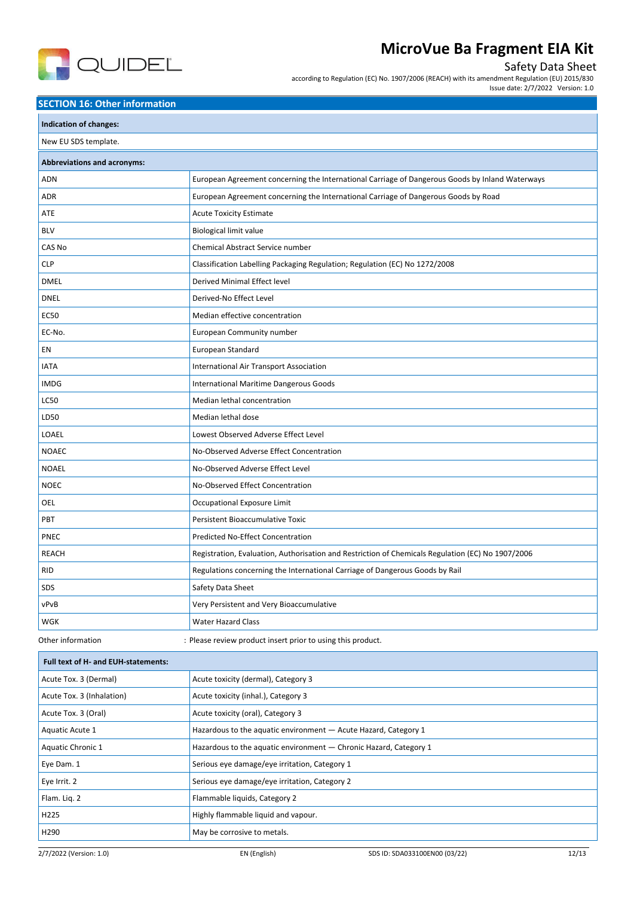

## Safety Data Sheet

according to Regulation (EC) No. 1907/2006 (REACH) with its amendment Regulation (EU) 2015/830

#### Issue date: 2/7/2022 Version: 1.0

### **SECTION 16: Other information**

| Indication of changes:             |                                                                                                   |  |
|------------------------------------|---------------------------------------------------------------------------------------------------|--|
| New EU SDS template.               |                                                                                                   |  |
| <b>Abbreviations and acronyms:</b> |                                                                                                   |  |
| <b>ADN</b>                         | European Agreement concerning the International Carriage of Dangerous Goods by Inland Waterways   |  |
| <b>ADR</b>                         | European Agreement concerning the International Carriage of Dangerous Goods by Road               |  |
| ATE                                | <b>Acute Toxicity Estimate</b>                                                                    |  |
| <b>BLV</b>                         | <b>Biological limit value</b>                                                                     |  |
| CAS No                             | Chemical Abstract Service number                                                                  |  |
| <b>CLP</b>                         | Classification Labelling Packaging Regulation; Regulation (EC) No 1272/2008                       |  |
| <b>DMEL</b>                        | Derived Minimal Effect level                                                                      |  |
| <b>DNEL</b>                        | Derived-No Effect Level                                                                           |  |
| <b>EC50</b>                        | Median effective concentration                                                                    |  |
| EC-No.                             | <b>European Community number</b>                                                                  |  |
| EN                                 | European Standard                                                                                 |  |
| <b>IATA</b>                        | <b>International Air Transport Association</b>                                                    |  |
| <b>IMDG</b>                        | International Maritime Dangerous Goods                                                            |  |
| <b>LC50</b>                        | Median lethal concentration                                                                       |  |
| LD50                               | Median lethal dose                                                                                |  |
| LOAEL                              | Lowest Observed Adverse Effect Level                                                              |  |
| <b>NOAEC</b>                       | No-Observed Adverse Effect Concentration                                                          |  |
| <b>NOAEL</b>                       | No-Observed Adverse Effect Level                                                                  |  |
| <b>NOEC</b>                        | No-Observed Effect Concentration                                                                  |  |
| OEL                                | Occupational Exposure Limit                                                                       |  |
| PBT                                | Persistent Bioaccumulative Toxic                                                                  |  |
| <b>PNEC</b>                        | <b>Predicted No-Effect Concentration</b>                                                          |  |
| <b>REACH</b>                       | Registration, Evaluation, Authorisation and Restriction of Chemicals Regulation (EC) No 1907/2006 |  |
| <b>RID</b>                         | Regulations concerning the International Carriage of Dangerous Goods by Rail                      |  |
| <b>SDS</b>                         | Safety Data Sheet                                                                                 |  |
| vPvB                               | Very Persistent and Very Bioaccumulative                                                          |  |
| WGK                                | <b>Water Hazard Class</b>                                                                         |  |
| Other information                  | : Please review product insert prior to using this product.                                       |  |

| <b>Full text of H- and EUH-statements:</b> |                                                                   |
|--------------------------------------------|-------------------------------------------------------------------|
| Acute Tox. 3 (Dermal)                      | Acute toxicity (dermal), Category 3                               |
| Acute Tox. 3 (Inhalation)                  | Acute toxicity (inhal.), Category 3                               |
| Acute Tox. 3 (Oral)                        | Acute toxicity (oral), Category 3                                 |
| Aquatic Acute 1                            | Hazardous to the aquatic environment - Acute Hazard, Category 1   |
| Aquatic Chronic 1                          | Hazardous to the aquatic environment - Chronic Hazard, Category 1 |
| Eye Dam. 1                                 | Serious eye damage/eye irritation, Category 1                     |
| Eye Irrit. 2                               | Serious eye damage/eye irritation, Category 2                     |
| Flam. Lig. 2                               | Flammable liquids, Category 2                                     |
| H225                                       | Highly flammable liquid and vapour.                               |
| H290                                       | May be corrosive to metals.                                       |
|                                            |                                                                   |